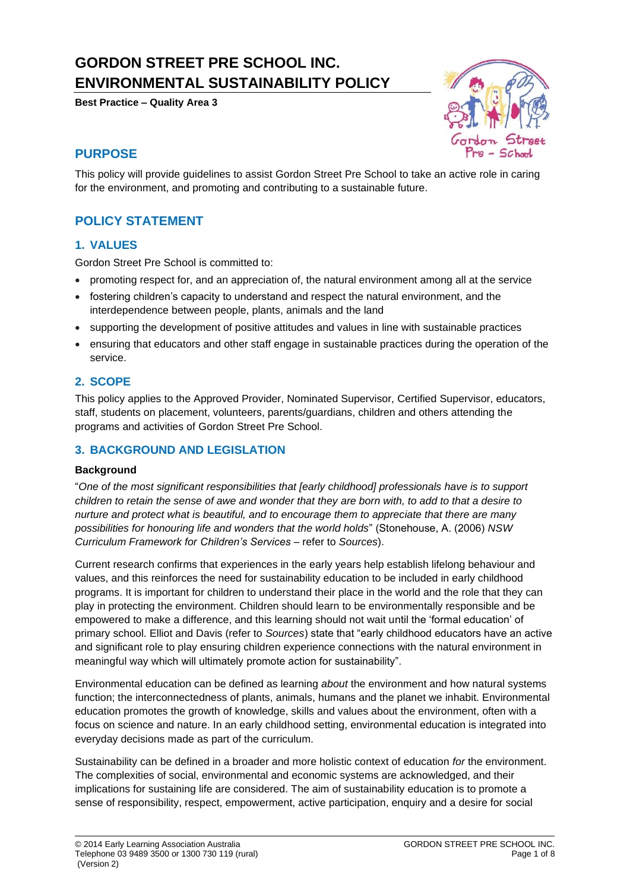# **GORDON STREET PRE SCHOOL INC. ENVIRONMENTAL SUSTAINABILITY POLICY**

**Best Practice – Quality Area 3**



## **PURPOSE**

This policy will provide guidelines to assist Gordon Street Pre School to take an active role in caring for the environment, and promoting and contributing to a sustainable future.

## **POLICY STATEMENT**

## **1. VALUES**

Gordon Street Pre School is committed to:

- promoting respect for, and an appreciation of, the natural environment among all at the service
- fostering children's capacity to understand and respect the natural environment, and the interdependence between people, plants, animals and the land
- supporting the development of positive attitudes and values in line with sustainable practices
- ensuring that educators and other staff engage in sustainable practices during the operation of the service.

## **2. SCOPE**

This policy applies to the Approved Provider, Nominated Supervisor, Certified Supervisor, educators, staff, students on placement, volunteers, parents/guardians, children and others attending the programs and activities of Gordon Street Pre School.

#### **3. BACKGROUND AND LEGISLATION**

#### **Background**

"*One of the most significant responsibilities that [early childhood] professionals have is to support children to retain the sense of awe and wonder that they are born with, to add to that a desire to nurture and protect what is beautiful, and to encourage them to appreciate that there are many possibilities for honouring life and wonders that the world holds*" (Stonehouse, A. (2006) *NSW Curriculum Framework for Children's Services* – refer to *Sources*).

Current research confirms that experiences in the early years help establish lifelong behaviour and values, and this reinforces the need for sustainability education to be included in early childhood programs. It is important for children to understand their place in the world and the role that they can play in protecting the environment. Children should learn to be environmentally responsible and be empowered to make a difference, and this learning should not wait until the 'formal education' of primary school. Elliot and Davis (refer to *Sources*) state that "early childhood educators have an active and significant role to play ensuring children experience connections with the natural environment in meaningful way which will ultimately promote action for sustainability".

Environmental education can be defined as learning *about* the environment and how natural systems function; the interconnectedness of plants, animals, humans and the planet we inhabit. Environmental education promotes the growth of knowledge, skills and values about the environment, often with a focus on science and nature. In an early childhood setting, environmental education is integrated into everyday decisions made as part of the curriculum.

Sustainability can be defined in a broader and more holistic context of education *for* the environment. The complexities of social, environmental and economic systems are acknowledged, and their implications for sustaining life are considered. The aim of sustainability education is to promote a sense of responsibility, respect, empowerment, active participation, enquiry and a desire for social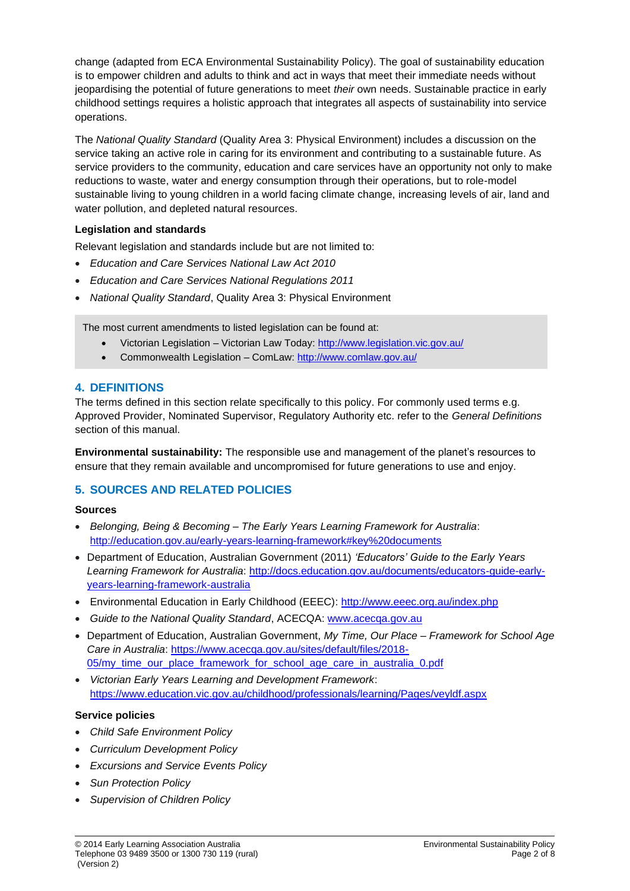change (adapted from ECA Environmental Sustainability Policy). The goal of sustainability education is to empower children and adults to think and act in ways that meet their immediate needs without jeopardising the potential of future generations to meet *their* own needs. Sustainable practice in early childhood settings requires a holistic approach that integrates all aspects of sustainability into service operations.

The *National Quality Standard* (Quality Area 3: Physical Environment) includes a discussion on the service taking an active role in caring for its environment and contributing to a sustainable future. As service providers to the community, education and care services have an opportunity not only to make reductions to waste, water and energy consumption through their operations, but to role-model sustainable living to young children in a world facing climate change, increasing levels of air, land and water pollution, and depleted natural resources.

### **Legislation and standards**

Relevant legislation and standards include but are not limited to:

- *Education and Care Services National Law Act 2010*
- *Education and Care Services National Regulations 2011*
- *National Quality Standard*, Quality Area 3: Physical Environment

The most current amendments to listed legislation can be found at:

- Victorian Legislation Victorian Law Today:<http://www.legislation.vic.gov.au/>
- Commonwealth Legislation ComLaw:<http://www.comlaw.gov.au/>

#### **4. DEFINITIONS**

The terms defined in this section relate specifically to this policy. For commonly used terms e.g. Approved Provider, Nominated Supervisor, Regulatory Authority etc. refer to the *General Definitions* section of this manual.

**Environmental sustainability:** The responsible use and management of the planet's resources to ensure that they remain available and uncompromised for future generations to use and enjoy.

## **5. SOURCES AND RELATED POLICIES**

#### **Sources**

- *Belonging, Being & Becoming – The Early Years Learning Framework for Australia*: <http://education.gov.au/early-years-learning-framework#key%20documents>
- Department of Education, Australian Government (2011) *'Educators' Guide to the Early Years Learning Framework for Australia*: [http://docs.education.gov.au/documents/educators-guide-early](http://docs.education.gov.au/documents/educators-guide-early-years-learning-framework-australia)[years-learning-framework-australia](http://docs.education.gov.au/documents/educators-guide-early-years-learning-framework-australia)
- Environmental Education in Early Childhood (EEEC):<http://www.eeec.org.au/index.php>
- *Guide to the National Quality Standard*, ACECQA: [www.acecqa.gov.au](http://www.acecqa.gov.au/)
- Department of Education, Australian Government, *My Time, Our Place – Framework for School Age Care in Australia*: [https://www.acecqa.gov.au/sites/default/files/2018-](https://www.acecqa.gov.au/sites/default/files/2018-05/my_time_our_place_framework_for_school_age_care_in_australia_0.pdf) [05/my\\_time\\_our\\_place\\_framework\\_for\\_school\\_age\\_care\\_in\\_australia\\_0.pdf](https://www.acecqa.gov.au/sites/default/files/2018-05/my_time_our_place_framework_for_school_age_care_in_australia_0.pdf)
- *Victorian Early Years Learning and Development Framework*: <https://www.education.vic.gov.au/childhood/professionals/learning/Pages/veyldf.aspx>

#### **Service policies**

- *Child Safe Environment Policy*
- *Curriculum Development Policy*
- *Excursions and Service Events Policy*
- *Sun Protection Policy*
- *Supervision of Children Policy*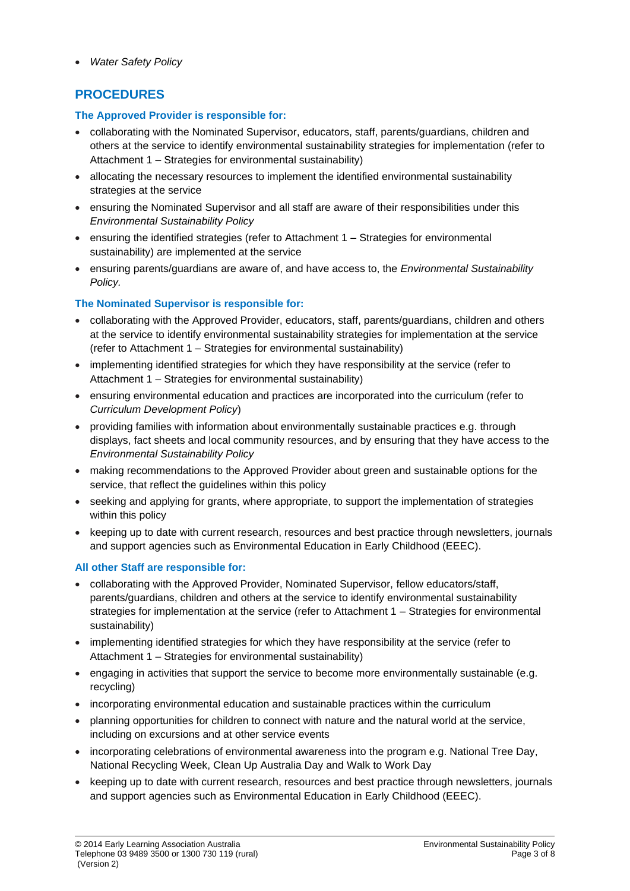• *Water Safety Policy*

## **PROCEDURES**

### **The Approved Provider is responsible for:**

- collaborating with the Nominated Supervisor, educators, staff, parents/guardians, children and others at the service to identify environmental sustainability strategies for implementation (refer to Attachment 1 – Strategies for environmental sustainability)
- allocating the necessary resources to implement the identified environmental sustainability strategies at the service
- ensuring the Nominated Supervisor and all staff are aware of their responsibilities under this *Environmental Sustainability Policy*
- ensuring the identified strategies (refer to Attachment 1 Strategies for environmental sustainability) are implemented at the service
- ensuring parents/guardians are aware of, and have access to, the *Environmental Sustainability Policy.*

## **The Nominated Supervisor is responsible for:**

- collaborating with the Approved Provider, educators, staff, parents/guardians, children and others at the service to identify environmental sustainability strategies for implementation at the service (refer to Attachment 1 – Strategies for environmental sustainability)
- implementing identified strategies for which they have responsibility at the service (refer to Attachment 1 – Strategies for environmental sustainability)
- ensuring environmental education and practices are incorporated into the curriculum (refer to *Curriculum Development Policy*)
- providing families with information about environmentally sustainable practices e.g. through displays, fact sheets and local community resources, and by ensuring that they have access to the *Environmental Sustainability Policy*
- making recommendations to the Approved Provider about green and sustainable options for the service, that reflect the guidelines within this policy
- seeking and applying for grants, where appropriate, to support the implementation of strategies within this policy
- keeping up to date with current research, resources and best practice through newsletters, journals and support agencies such as Environmental Education in Early Childhood (EEEC).

#### **All other Staff are responsible for:**

- collaborating with the Approved Provider, Nominated Supervisor, fellow educators/staff, parents/guardians, children and others at the service to identify environmental sustainability strategies for implementation at the service (refer to Attachment 1 – Strategies for environmental sustainability)
- implementing identified strategies for which they have responsibility at the service (refer to Attachment 1 – Strategies for environmental sustainability)
- engaging in activities that support the service to become more environmentally sustainable (e.g. recycling)
- incorporating environmental education and sustainable practices within the curriculum
- planning opportunities for children to connect with nature and the natural world at the service, including on excursions and at other service events
- incorporating celebrations of environmental awareness into the program e.g. National Tree Day, National Recycling Week, Clean Up Australia Day and Walk to Work Day
- keeping up to date with current research, resources and best practice through newsletters, journals and support agencies such as Environmental Education in Early Childhood (EEEC).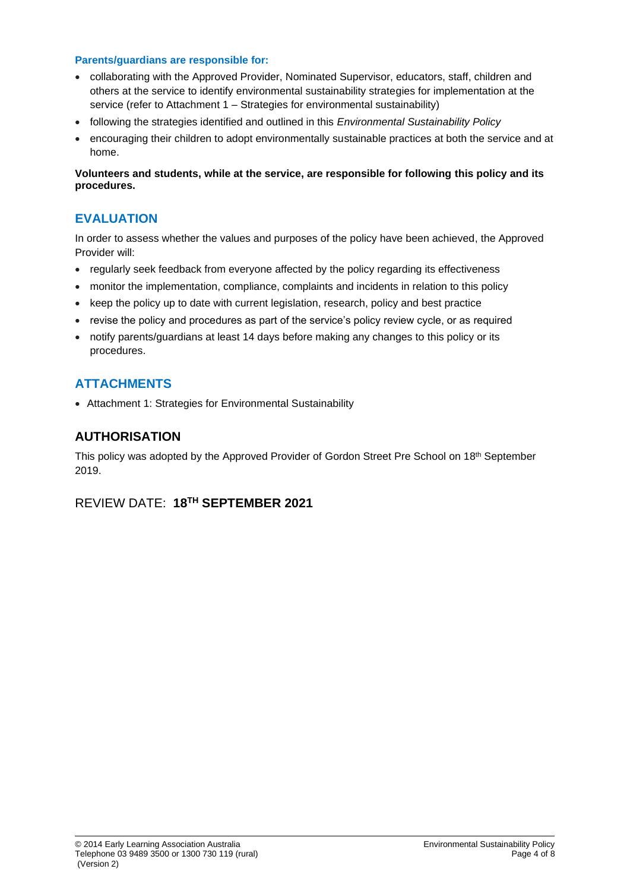#### **Parents/guardians are responsible for:**

- collaborating with the Approved Provider, Nominated Supervisor, educators, staff, children and others at the service to identify environmental sustainability strategies for implementation at the service (refer to Attachment 1 – Strategies for environmental sustainability)
- following the strategies identified and outlined in this *Environmental Sustainability Policy*
- encouraging their children to adopt environmentally sustainable practices at both the service and at home.

**Volunteers and students, while at the service, are responsible for following this policy and its procedures.**

## **EVALUATION**

In order to assess whether the values and purposes of the policy have been achieved, the Approved Provider will:

- regularly seek feedback from everyone affected by the policy regarding its effectiveness
- monitor the implementation, compliance, complaints and incidents in relation to this policy
- keep the policy up to date with current legislation, research, policy and best practice
- revise the policy and procedures as part of the service's policy review cycle, or as required
- notify parents/guardians at least 14 days before making any changes to this policy or its procedures.

## **ATTACHMENTS**

• Attachment 1: Strategies for Environmental Sustainability

## **AUTHORISATION**

This policy was adopted by the Approved Provider of Gordon Street Pre School on 18<sup>th</sup> September 2019.

## REVIEW DATE: **18 TH SEPTEMBER 2021**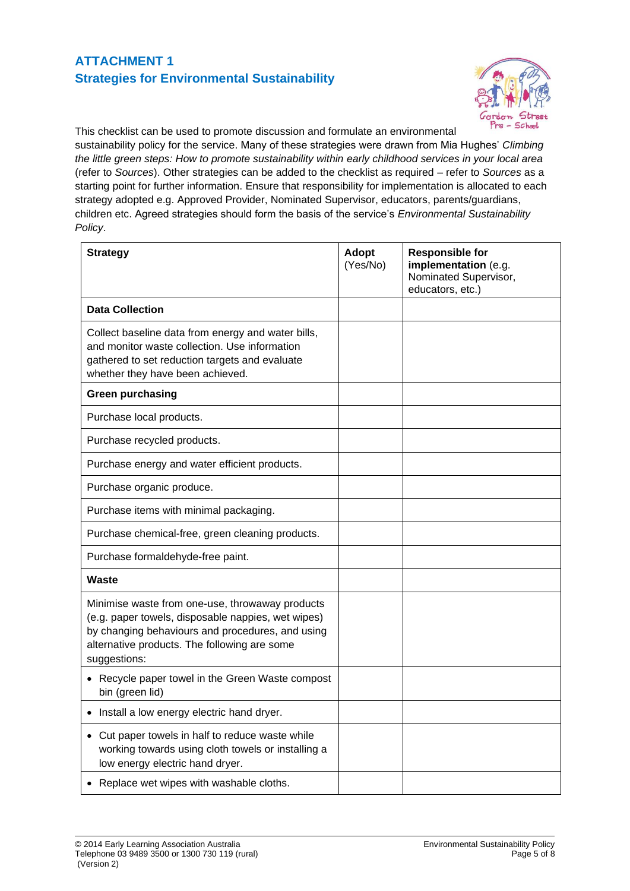## **ATTACHMENT 1 Strategies for Environmental Sustainability**



This checklist can be used to promote discussion and formulate an environmental sustainability policy for the service. Many of these strategies were drawn from Mia Hughes' *Climbing the little green steps: How to promote sustainability within early childhood services in your local area* (refer to *Sources*). Other strategies can be added to the checklist as required – refer to *Sources* as a starting point for further information. Ensure that responsibility for implementation is allocated to each strategy adopted e.g. Approved Provider, Nominated Supervisor, educators, parents/guardians, children etc. Agreed strategies should form the basis of the service's *Environmental Sustainability Policy*.

| <b>Strategy</b>                                                                                                                                                                                                           | <b>Adopt</b><br>(Yes/No) | <b>Responsible for</b><br>implementation (e.g.<br>Nominated Supervisor,<br>educators, etc.) |
|---------------------------------------------------------------------------------------------------------------------------------------------------------------------------------------------------------------------------|--------------------------|---------------------------------------------------------------------------------------------|
| <b>Data Collection</b>                                                                                                                                                                                                    |                          |                                                                                             |
| Collect baseline data from energy and water bills,<br>and monitor waste collection. Use information<br>gathered to set reduction targets and evaluate<br>whether they have been achieved.                                 |                          |                                                                                             |
| <b>Green purchasing</b>                                                                                                                                                                                                   |                          |                                                                                             |
| Purchase local products.                                                                                                                                                                                                  |                          |                                                                                             |
| Purchase recycled products.                                                                                                                                                                                               |                          |                                                                                             |
| Purchase energy and water efficient products.                                                                                                                                                                             |                          |                                                                                             |
| Purchase organic produce.                                                                                                                                                                                                 |                          |                                                                                             |
| Purchase items with minimal packaging.                                                                                                                                                                                    |                          |                                                                                             |
| Purchase chemical-free, green cleaning products.                                                                                                                                                                          |                          |                                                                                             |
| Purchase formaldehyde-free paint.                                                                                                                                                                                         |                          |                                                                                             |
| Waste                                                                                                                                                                                                                     |                          |                                                                                             |
| Minimise waste from one-use, throwaway products<br>(e.g. paper towels, disposable nappies, wet wipes)<br>by changing behaviours and procedures, and using<br>alternative products. The following are some<br>suggestions: |                          |                                                                                             |
| • Recycle paper towel in the Green Waste compost<br>bin (green lid)                                                                                                                                                       |                          |                                                                                             |
| Install a low energy electric hand dryer.                                                                                                                                                                                 |                          |                                                                                             |
| Cut paper towels in half to reduce waste while<br>$\bullet$<br>working towards using cloth towels or installing a<br>low energy electric hand dryer.                                                                      |                          |                                                                                             |
| Replace wet wipes with washable cloths.                                                                                                                                                                                   |                          |                                                                                             |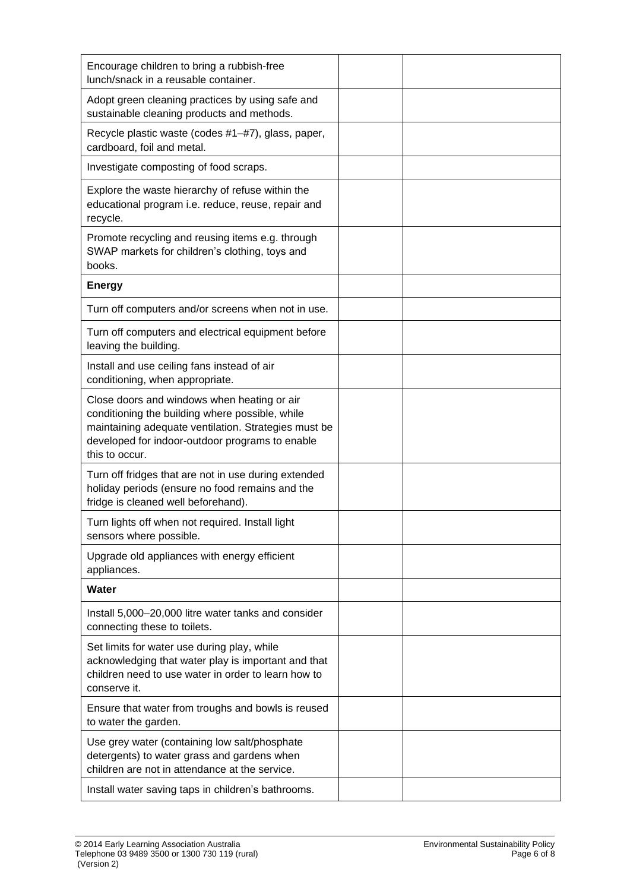| Encourage children to bring a rubbish-free<br>lunch/snack in a reusable container.                                                                                                                                          |  |
|-----------------------------------------------------------------------------------------------------------------------------------------------------------------------------------------------------------------------------|--|
| Adopt green cleaning practices by using safe and<br>sustainable cleaning products and methods.                                                                                                                              |  |
| Recycle plastic waste (codes #1-#7), glass, paper,<br>cardboard, foil and metal.                                                                                                                                            |  |
| Investigate composting of food scraps.                                                                                                                                                                                      |  |
| Explore the waste hierarchy of refuse within the<br>educational program i.e. reduce, reuse, repair and<br>recycle.                                                                                                          |  |
| Promote recycling and reusing items e.g. through<br>SWAP markets for children's clothing, toys and<br>books.                                                                                                                |  |
| <b>Energy</b>                                                                                                                                                                                                               |  |
| Turn off computers and/or screens when not in use.                                                                                                                                                                          |  |
| Turn off computers and electrical equipment before<br>leaving the building.                                                                                                                                                 |  |
| Install and use ceiling fans instead of air<br>conditioning, when appropriate.                                                                                                                                              |  |
| Close doors and windows when heating or air<br>conditioning the building where possible, while<br>maintaining adequate ventilation. Strategies must be<br>developed for indoor-outdoor programs to enable<br>this to occur. |  |
| Turn off fridges that are not in use during extended<br>holiday periods (ensure no food remains and the<br>fridge is cleaned well beforehand).                                                                              |  |
| Turn lights off when not required. Install light<br>sensors where possible.                                                                                                                                                 |  |
| Upgrade old appliances with energy efficient<br>appliances.                                                                                                                                                                 |  |
| Water                                                                                                                                                                                                                       |  |
| Install 5,000-20,000 litre water tanks and consider<br>connecting these to toilets.                                                                                                                                         |  |
| Set limits for water use during play, while<br>acknowledging that water play is important and that<br>children need to use water in order to learn how to<br>conserve it.                                                   |  |
| Ensure that water from troughs and bowls is reused<br>to water the garden.                                                                                                                                                  |  |
| Use grey water (containing low salt/phosphate<br>detergents) to water grass and gardens when<br>children are not in attendance at the service.                                                                              |  |
| Install water saving taps in children's bathrooms.                                                                                                                                                                          |  |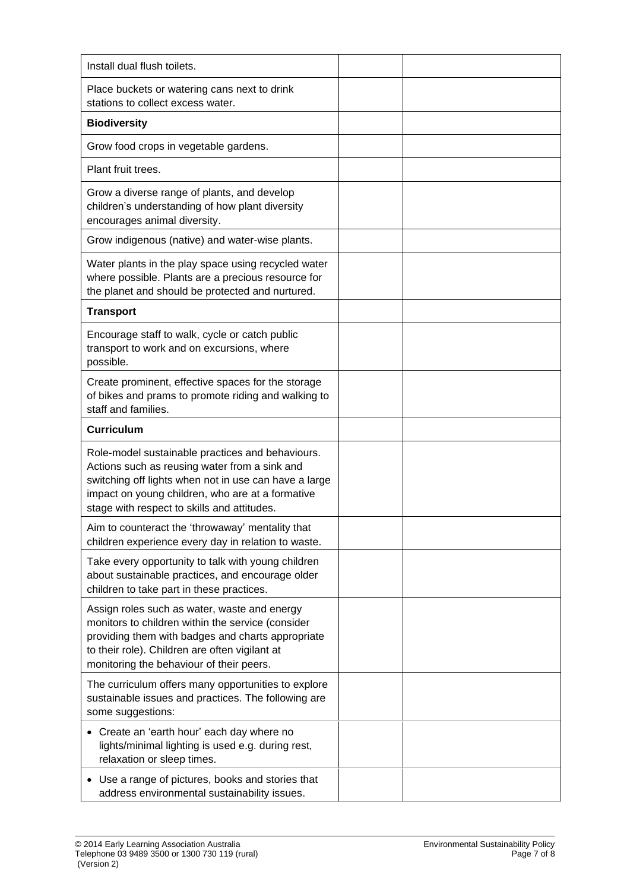| Install dual flush toilets.                                                                                                                                                                                                                                   |  |
|---------------------------------------------------------------------------------------------------------------------------------------------------------------------------------------------------------------------------------------------------------------|--|
| Place buckets or watering cans next to drink<br>stations to collect excess water.                                                                                                                                                                             |  |
| <b>Biodiversity</b>                                                                                                                                                                                                                                           |  |
| Grow food crops in vegetable gardens.                                                                                                                                                                                                                         |  |
| Plant fruit trees.                                                                                                                                                                                                                                            |  |
| Grow a diverse range of plants, and develop<br>children's understanding of how plant diversity<br>encourages animal diversity.                                                                                                                                |  |
| Grow indigenous (native) and water-wise plants.                                                                                                                                                                                                               |  |
| Water plants in the play space using recycled water<br>where possible. Plants are a precious resource for<br>the planet and should be protected and nurtured.                                                                                                 |  |
| <b>Transport</b>                                                                                                                                                                                                                                              |  |
| Encourage staff to walk, cycle or catch public<br>transport to work and on excursions, where<br>possible.                                                                                                                                                     |  |
| Create prominent, effective spaces for the storage<br>of bikes and prams to promote riding and walking to<br>staff and families.                                                                                                                              |  |
| <b>Curriculum</b>                                                                                                                                                                                                                                             |  |
| Role-model sustainable practices and behaviours.<br>Actions such as reusing water from a sink and<br>switching off lights when not in use can have a large<br>impact on young children, who are at a formative<br>stage with respect to skills and attitudes. |  |
| Aim to counteract the 'throwaway' mentality that<br>children experience every day in relation to waste.                                                                                                                                                       |  |
| Take every opportunity to talk with young children<br>about sustainable practices, and encourage older<br>children to take part in these practices.                                                                                                           |  |
| Assign roles such as water, waste and energy<br>monitors to children within the service (consider<br>providing them with badges and charts appropriate<br>to their role). Children are often vigilant at<br>monitoring the behaviour of their peers.          |  |
| The curriculum offers many opportunities to explore<br>sustainable issues and practices. The following are<br>some suggestions:                                                                                                                               |  |
| • Create an 'earth hour' each day where no<br>lights/minimal lighting is used e.g. during rest,<br>relaxation or sleep times.                                                                                                                                 |  |
| • Use a range of pictures, books and stories that<br>address environmental sustainability issues.                                                                                                                                                             |  |